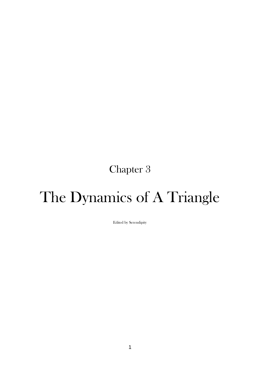## Chapter 3

## The Dynamics of A Triangle

Edited by Serendipity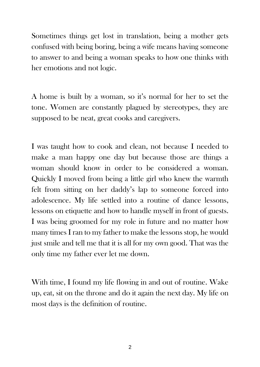Sometimes things get lost in translation, being a mother gets confused with being boring, being a wife means having someone to answer to and being a woman speaks to how one thinks with her emotions and not logic.

A home is built by a woman, so it's normal for her to set the tone. Women are constantly plagued by stereotypes, they are supposed to be neat, great cooks and caregivers.

I was taught how to cook and clean, not because I needed to make a man happy one day but because those are things a woman should know in order to be considered a woman. Quickly I moved from being a little girl who knew the warmth felt from sitting on her daddy's lap to someone forced into adolescence. My life settled into a routine of dance lessons, lessons on etiquette and how to handle myself in front of guests. I was being groomed for my role in future and no matter how many times I ran to my father to make the lessons stop, he would just smile and tell me that it is all for my own good. That was the only time my father ever let me down.

With time, I found my life flowing in and out of routine. Wake up, eat, sit on the throne and do it again the next day. My life on most days is the definition of routine.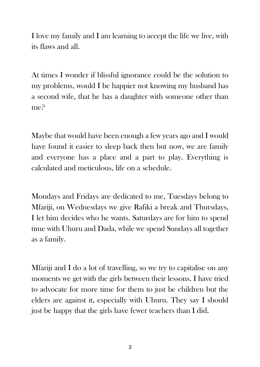I love my family and I am learning to accept the life we live, with its flaws and all.

At times I wonder if blissful ignorance could be the solution to my problems, would I be happier not knowing my husband has a second wife, that he has a daughter with someone other than me?

Maybe that would have been enough a few years ago and I would have found it easier to sleep back then but now, we are family and everyone has a place and a part to play. Everything is calculated and meticulous, life on a schedule.

Mondays and Fridays are dedicated to me, Tuesdays belong to Mfariji, on Wednesdays we give Rafiki a break and Thursdays, I let him decides who he wants. Saturdays are for him to spend time with Uhuru and Dada, while we spend Sundays all together as a family.

Mfariji and I do a lot of travelling, so we try to capitalise on any moments we get with the girls between their lessons. I have tried to advocate for more time for them to just be children but the elders are against it, especially with Uhuru. They say I should just be happy that the girls have fewer teachers than I did.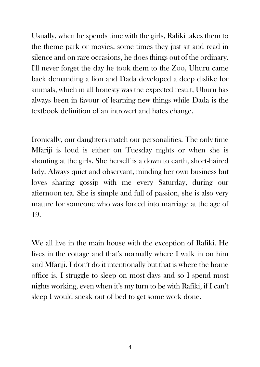Usually, when he spends time with the girls, Rafiki takes them to the theme park or movies, some times they just sit and read in silence and on rare occasions, he does things out of the ordinary. I'll never forget the day he took them to the Zoo, Uhuru came back demanding a lion and Dada developed a deep dislike for animals, which in all honesty was the expected result, Uhuru has always been in favour of learning new things while Dada is the textbook definition of an introvert and hates change.

Ironically, our daughters match our personalities. The only time Mfariji is loud is either on Tuesday nights or when she is shouting at the girls. She herself is a down to earth, short-haired lady. Always quiet and observant, minding her own business but loves sharing gossip with me every Saturday, during our afternoon tea. She is simple and full of passion, she is also very mature for someone who was forced into marriage at the age of 19.

We all live in the main house with the exception of Rafiki. He lives in the cottage and that's normally where I walk in on him and Mfariji. I don't do it intentionally but that is where the home office is. I struggle to sleep on most days and so I spend most nights working, even when it's my turn to be with Rafiki, if I can't sleep I would sneak out of bed to get some work done.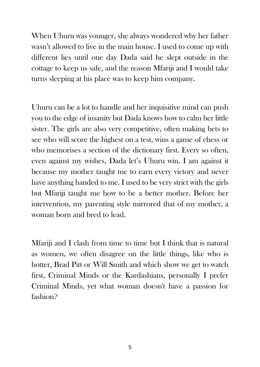When Uhuru was younger, she always wondered why her father wasn't allowed to live in the main house. I used to come up with different lies until one day Dada said he slept outside in the cottage to keep us safe, and the reason Mfariji and I would take turns sleeping at his place was to keep him company.

Uhuru can be a lot to handle and her inquisitive mind can push you to the edge of insanity but Dada knows how to calm her little sister. The girls are also very competitive, often making bets to see who will score the highest on a test, wins a game of chess or who memorises a section of the dictionary first. Every so often, even against my wishes, Dada let's Uhuru win. I am against it because my mother taught me to earn every victory and never have anything handed to me. I used to be very strict with the girls but Mfariji taught me how to be a better mother. Before her intervention, my parenting style mirrored that of my mother, a woman born and bred to lead.

Mfariji and I clash from time to time but I think that is natural as women, we often disagree on the little things, like who is hotter, Brad Pitt or Will Smith and which show we get to watch first, Criminal Minds or the Kardashians, personally I prefer Criminal Minds, yet what woman doesn't have a passion for fashion?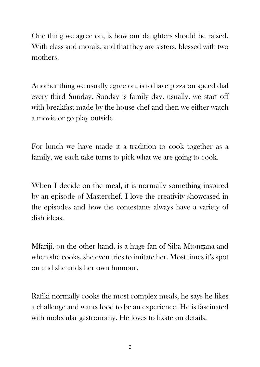One thing we agree on, is how our daughters should be raised. With class and morals, and that they are sisters, blessed with two mothers.

Another thing we usually agree on, is to have pizza on speed dial every third Sunday. Sunday is family day, usually, we start off with breakfast made by the house chef and then we either watch a movie or go play outside.

For lunch we have made it a tradition to cook together as a family, we each take turns to pick what we are going to cook.

When I decide on the meal, it is normally something inspired by an episode of Masterchef. I love the creativity showcased in the episodes and how the contestants always have a variety of dish ideas.

Mfariji, on the other hand, is a huge fan of Siba Mtongana and when she cooks, she even tries to imitate her. Most times it's spot on and she adds her own humour.

Rafiki normally cooks the most complex meals, he says he likes a challenge and wants food to be an experience. He is fascinated with molecular gastronomy. He loves to fixate on details.